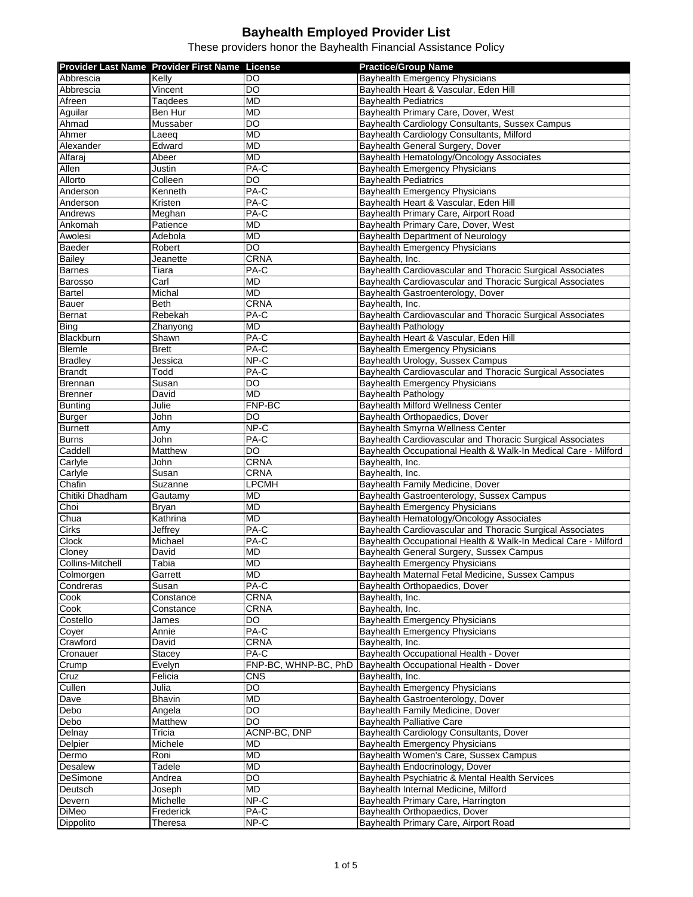|                         | Provider Last Name Provider First Name License |                      | <b>Practice/Group Name</b>                                     |
|-------------------------|------------------------------------------------|----------------------|----------------------------------------------------------------|
| Abbrescia               | Kelly                                          | DO                   | <b>Bayhealth Emergency Physicians</b>                          |
|                         |                                                |                      |                                                                |
| Abbrescia               | Vincent                                        | DO                   | Bayhealth Heart & Vascular, Eden Hill                          |
| Afreen                  | Taqdees                                        | <b>MD</b>            | <b>Bayhealth Pediatrics</b>                                    |
| Aguilar                 | Ben Hur                                        | <b>MD</b>            | Bayhealth Primary Care, Dover, West                            |
| Ahmad                   | Mussaber                                       | DO                   | Bayhealth Cardiology Consultants, Sussex Campus                |
| Ahmer                   | Laeeg                                          | <b>MD</b>            | Bayhealth Cardiology Consultants, Milford                      |
| Alexander               | Edward                                         | <b>MD</b>            | Bayhealth General Surgery, Dover                               |
| Alfaraj                 | Abeer                                          | <b>MD</b>            | Bayhealth Hematology/Oncology Associates                       |
| Allen                   | Justin                                         | PA-C                 | <b>Bayhealth Emergency Physicians</b>                          |
| Allorto                 | Colleen                                        | DO                   | <b>Bayhealth Pediatrics</b>                                    |
| Anderson                | Kenneth                                        | PA-C                 | Bayhealth Emergency Physicians                                 |
| Anderson                | Kristen                                        | PA-C                 | Bayhealth Heart & Vascular, Eden Hill                          |
| Andrews                 | Meghan                                         | $PA-C$               | Bayhealth Primary Care, Airport Road                           |
| Ankomah                 | Patience                                       | MD                   | Bayhealth Primary Care, Dover, West                            |
| Awolesi                 | Adebola                                        | <b>MD</b>            | Bayhealth Department of Neurology                              |
| Baeder                  | Robert                                         | <b>DO</b>            | Bayhealth Emergency Physicians                                 |
| Bailey                  | Jeanette                                       | <b>CRNA</b>          | Bayhealth, Inc.                                                |
| <b>Barnes</b>           | Tiara                                          | PA-C                 | Bayhealth Cardiovascular and Thoracic Surgical Associates      |
| Barosso                 | Carl                                           | MD                   | Bayhealth Cardiovascular and Thoracic Surgical Associates      |
| <b>Bartel</b>           | Michal                                         | <b>MD</b>            | Bayhealth Gastroenterology, Dover                              |
| Bauer                   | <b>Beth</b>                                    | <b>CRNA</b>          | Bayhealth, Inc.                                                |
| <b>Bernat</b>           | Rebekah                                        | $PA-C$               | Bayhealth Cardiovascular and Thoracic Surgical Associates      |
| <b>Bing</b>             | Zhanyong                                       | MD                   | <b>Bayhealth Pathology</b>                                     |
| Blackburn               | Shawn                                          | PA-C                 | Bayhealth Heart & Vascular, Eden Hill                          |
| <b>Blemle</b>           | <b>Brett</b>                                   | PA-C                 | <b>Bayhealth Emergency Physicians</b>                          |
|                         |                                                | $NP-C$               |                                                                |
| <b>Bradley</b>          | Jessica                                        |                      | Bayhealth Urology, Sussex Campus                               |
| <b>Brandt</b>           | Todd                                           | PA-C                 | Bayhealth Cardiovascular and Thoracic Surgical Associates      |
| <b>Brennan</b>          | Susan                                          | DO                   | <b>Bayhealth Emergency Physicians</b>                          |
| <b>Brenner</b>          | David                                          | <b>MD</b>            | <b>Bayhealth Pathology</b>                                     |
| <b>Bunting</b>          | Julie                                          | FNP-BC               | Bayhealth Milford Wellness Center                              |
| <b>Burger</b>           | John                                           | $\overline{D}$       | Bayhealth Orthopaedics, Dover                                  |
| <b>Burnett</b>          | Amy                                            | NP-C                 | Bayhealth Smyrna Wellness Center                               |
| <b>Burns</b>            | John                                           | PA-C                 | Bayhealth Cardiovascular and Thoracic Surgical Associates      |
| Caddell                 | Matthew                                        | <b>DO</b>            | Bayhealth Occupational Health & Walk-In Medical Care - Milford |
| Carlyle                 | John                                           | <b>CRNA</b>          | Bayhealth, Inc.                                                |
| Carlyle                 | Susan                                          | <b>CRNA</b>          | Bayhealth, Inc.                                                |
| Chafin                  | Suzanne                                        | <b>LPCMH</b>         | Bayhealth Family Medicine, Dover                               |
| Chitiki Dhadham         | Gautamy                                        | <b>MD</b>            | Bayhealth Gastroenterology, Sussex Campus                      |
| Choi                    | <b>Bryan</b>                                   | MD                   | <b>Bayhealth Emergency Physicians</b>                          |
| Chua                    | Kathrina                                       | <b>MD</b>            | Bayhealth Hematology/Oncology Associates                       |
| <b>Cirks</b>            | Jeffrey                                        | $\overline{PA}$ -C   | Bayhealth Cardiovascular and Thoracic Surgical Associates      |
| Clock                   | Michael                                        | $PA-C$               | Bayhealth Occupational Health & Walk-In Medical Care - Milford |
| Cloney                  | David                                          | <b>MD</b>            | Bayhealth General Surgery, Sussex Campus                       |
| <b>Collins-Mitchell</b> | Tabia                                          | <b>MD</b>            | <b>Bayhealth Emergency Physicians</b>                          |
| Colmorgen               | Garrett                                        | MD                   | Bayhealth Maternal Fetal Medicine, Sussex Campus               |
| Condreras               | Susan                                          | PA-C                 | Bayhealth Orthopaedics, Dover                                  |
| Cook                    | Constance                                      | CRNA                 | Bayhealth, Inc.                                                |
| Cook                    | Constance                                      | CRNA                 | Bayhealth, Inc.                                                |
| Costello                | James                                          | DO                   | Bayhealth Emergency Physicians                                 |
| Coyer                   | Annie                                          | PA-C                 | Bayhealth Emergency Physicians                                 |
| Crawford                | David                                          | <b>CRNA</b>          | Bayhealth, Inc.                                                |
| Cronauer                | Stacey                                         | PA-C                 | Bayhealth Occupational Health - Dover                          |
| Crump                   | Evelyn                                         | FNP-BC, WHNP-BC, PhD | Bayhealth Occupational Health - Dover                          |
| Cruz                    | Felicia                                        | CNS                  | Bayhealth, Inc.                                                |
| Cullen                  | Julia                                          | $\overline{D}$       | <b>Bayhealth Emergency Physicians</b>                          |
| Dave                    |                                                | MD                   | Bayhealth Gastroenterology, Dover                              |
|                         | Bhavin                                         |                      |                                                                |
| Debo                    | Angela                                         | DO                   | Bayhealth Family Medicine, Dover                               |
| Debo                    | <b>Matthew</b>                                 | <b>DO</b>            | <b>Bayhealth Palliative Care</b>                               |
| Delnay                  | Tricia                                         | ACNP-BC, DNP         | Bayhealth Cardiology Consultants, Dover                        |
| Delpier                 | Michele                                        | MD                   | Bayhealth Emergency Physicians                                 |
| Dermo                   | Roni                                           | MD                   | Bayhealth Women's Care, Sussex Campus                          |
| <b>Desalew</b>          | Tadele                                         | MD                   | Bayhealth Endocrinology, Dover                                 |
| DeSimone                | Andrea                                         | DO                   | Bayhealth Psychiatric & Mental Health Services                 |
| Deutsch                 | Joseph                                         | <b>MD</b>            | Bayhealth Internal Medicine, Milford                           |
| Devern                  | Michelle                                       | NP-C                 | Bayhealth Primary Care, Harrington                             |
| <b>DiMeo</b>            | Frederick                                      | PA-C                 | Bayhealth Orthopaedics, Dover                                  |
| Dippolito               | Theresa                                        | NP-C                 | Bayhealth Primary Care, Airport Road                           |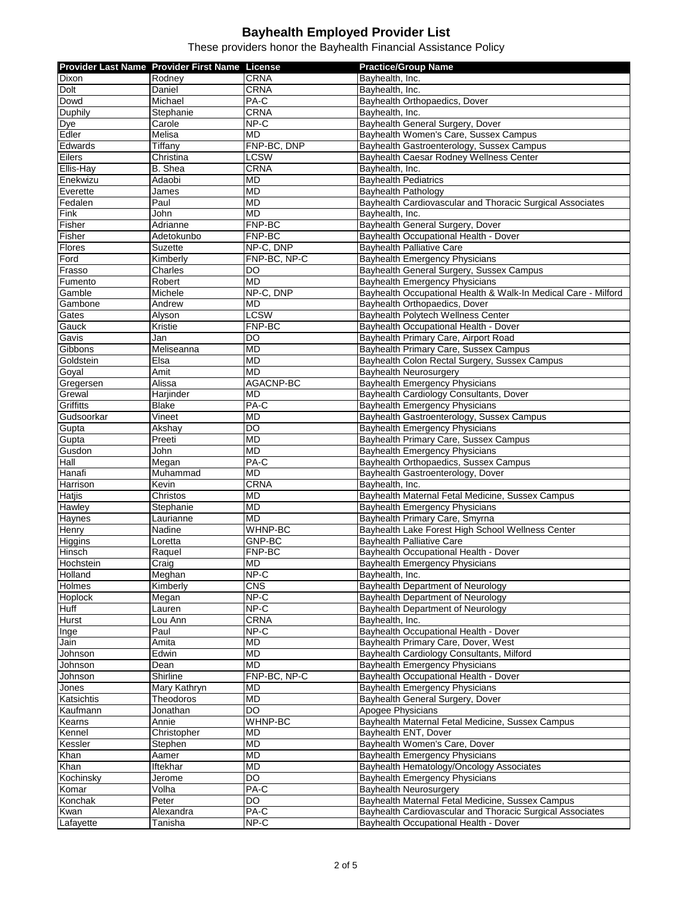|                | Provider Last Name Provider First Name License |                  | <b>Practice/Group Name</b>                                     |
|----------------|------------------------------------------------|------------------|----------------------------------------------------------------|
|                |                                                | <b>CRNA</b>      |                                                                |
| Dixon          | Rodney                                         |                  | Bayhealth, Inc.                                                |
| Dolt           | Daniel                                         | <b>CRNA</b>      | Bayhealth, Inc.                                                |
| Dowd           | Michael                                        | PA-C             | Bayhealth Orthopaedics, Dover                                  |
| Duphily        | Stephanie                                      | <b>CRNA</b>      | Bayhealth, Inc.                                                |
| Dye            | Carole                                         | NP-C             | Bayhealth General Surgery, Dover                               |
| Edler          | Melisa                                         | MD               | Bayhealth Women's Care, Sussex Campus                          |
| Edwards        | Tiffany                                        | FNP-BC, DNP      | Bayhealth Gastroenterology, Sussex Campus                      |
| Eilers         | Christina                                      | <b>LCSW</b>      | Bayhealth Caesar Rodney Wellness Center                        |
| Ellis-Hay      | B. Shea                                        | <b>CRNA</b>      | Bayhealth, Inc.                                                |
| Enekwizu       | Adaobi                                         | <b>MD</b>        | <b>Bayhealth Pediatrics</b>                                    |
| Everette       | James                                          | MD               | Bayhealth Pathology                                            |
| Fedalen        | Paul                                           | <b>MD</b>        | Bayhealth Cardiovascular and Thoracic Surgical Associates      |
| Fink           | John                                           | <b>MD</b>        | Bayhealth, Inc.                                                |
| Fisher         | Adrianne                                       | FNP-BC           | Bayhealth General Surgery, Dover                               |
| Fisher         | Adetokunbo                                     | FNP-BC           | Bayhealth Occupational Health - Dover                          |
| Flores         | <b>Suzette</b>                                 | NP-C, DNP        | <b>Bayhealth Palliative Care</b>                               |
| Ford           | Kimberly                                       | FNP-BC, NP-C     | Bayhealth Emergency Physicians                                 |
| Frasso         | Charles                                        | DO               | Bayhealth General Surgery, Sussex Campus                       |
| Fumento        | Robert                                         | <b>MD</b>        | <b>Bayhealth Emergency Physicians</b>                          |
| Gamble         | Michele                                        | NP-C, DNP        | Bayhealth Occupational Health & Walk-In Medical Care - Milford |
|                |                                                |                  |                                                                |
| Gambone        | Andrew                                         | <b>MD</b>        | Bayhealth Orthopaedics, Dover                                  |
| Gates          | Alyson                                         | <b>LCSW</b>      | Bayhealth Polytech Wellness Center                             |
| Gauck          | Kristie                                        | FNP-BC           | Bayhealth Occupational Health - Dover                          |
| Gavis          | Jan                                            | DO               | Bayhealth Primary Care, Airport Road                           |
| Gibbons        | Meliseanna                                     | MD               | Bayhealth Primary Care, Sussex Campus                          |
| Goldstein      | Elsa                                           | <b>MD</b>        | Bayhealth Colon Rectal Surgery, Sussex Campus                  |
| Goyal          | Amit                                           | <b>MD</b>        | Bayhealth Neurosurgery                                         |
| Gregersen      | Alissa                                         | <b>AGACNP-BC</b> | <b>Bayhealth Emergency Physicians</b>                          |
| Grewal         | Harjinder                                      | MD               | Bayhealth Cardiology Consultants, Dover                        |
| Griffitts      | <b>Blake</b>                                   | PA-C             | Bayhealth Emergency Physicians                                 |
| Gudsoorkar     | Vineet                                         | <b>MD</b>        | Bayhealth Gastroenterology, Sussex Campus                      |
| Gupta          | Akshay                                         | DO               | Bayhealth Emergency Physicians                                 |
| Gupta          | Preeti                                         | <b>MD</b>        | Bayhealth Primary Care, Sussex Campus                          |
| Gusdon         | John                                           | <b>MD</b>        | Bayhealth Emergency Physicians                                 |
| Hall           | Megan                                          | $PA-C$           | Bayhealth Orthopaedics, Sussex Campus                          |
| Hanafi         | Muhammad                                       | <b>MD</b>        | Bayhealth Gastroenterology, Dover                              |
| Harrison       | Kevin                                          | <b>CRNA</b>      | Bayhealth, Inc.                                                |
| Hatjis         | Christos                                       | <b>MD</b>        | Bayhealth Maternal Fetal Medicine, Sussex Campus               |
| Hawley         | Stephanie                                      | <b>MD</b>        | Bayhealth Emergency Physicians                                 |
| Haynes         | Laurianne                                      | MD               | Bayhealth Primary Care, Smyrna                                 |
| Henry          | Nadine                                         | WHNP-BC          | Bayhealth Lake Forest High School Wellness Center              |
| Higgins        | Loretta                                        | <b>GNP-BC</b>    | <b>Bayhealth Palliative Care</b>                               |
| Hinsch         | Raquel                                         | FNP-BC           | Bayhealth Occupational Health - Dover                          |
| Hochstein      | Craig                                          | MD               | <b>Bayhealth Emergency Physicians</b>                          |
|                |                                                | $NP-C$           | Bayhealth, Inc.                                                |
| <b>Holland</b> | Meghan                                         |                  |                                                                |
| Holmes         | Kimberly                                       | <b>CNS</b>       | Bayhealth Department of Neurology                              |
| Hoplock        | Megan                                          | $NP-C$           | Bayhealth Department of Neurology                              |
| Huff           | Lauren                                         | $NP-C$           | Bayhealth Department of Neurology                              |
| Hurst          | Lou Ann                                        | <b>CRNA</b>      | Bayhealth, Inc.                                                |
| Inge           | Paul                                           | $NP-C$           | Bayhealth Occupational Health - Dover                          |
| Jain           | Amita                                          | MD               | Bayhealth Primary Care, Dover, West                            |
| Johnson        | Edwin                                          | MD               | Bayhealth Cardiology Consultants, Milford                      |
| Johnson        | Dean                                           | MD               | Bayhealth Emergency Physicians                                 |
| Johnson        | Shirline                                       | FNP-BC, NP-C     | Bayhealth Occupational Health - Dover                          |
| Jones          | Mary Kathryn                                   | <b>MD</b>        | Bayhealth Emergency Physicians                                 |
| Katsichtis     | Theodoros                                      | MD               | Bayhealth General Surgery, Dover                               |
| Kaufmann       | Jonathan                                       | DO               | Apogee Physicians                                              |
| Kearns         | Annie                                          | WHNP-BC          | Bayhealth Maternal Fetal Medicine, Sussex Campus               |
| Kennel         | Christopher                                    | MD               | Bayhealth ENT, Dover                                           |
| Kessler        | Stephen                                        | MD               | Bayhealth Women's Care, Dover                                  |
| Khan           | Aamer                                          | MD               | Bayhealth Emergency Physicians                                 |
| Khan           | Iftekhar                                       | MD               | Bayhealth Hematology/Oncology Associates                       |
| Kochinsky      | Jerome                                         | $\overline{50}$  | <b>Bayhealth Emergency Physicians</b>                          |
| Komar          | Volha                                          | PA-C             | Bayhealth Neurosurgery                                         |
| Konchak        | Peter                                          | DO               | Bayhealth Maternal Fetal Medicine, Sussex Campus               |
|                | Alexandra                                      | PA-C             | Bayhealth Cardiovascular and Thoracic Surgical Associates      |
| Kwan           |                                                |                  |                                                                |
| Lafayette      | Tanisha                                        | $NP-C$           | Bayhealth Occupational Health - Dover                          |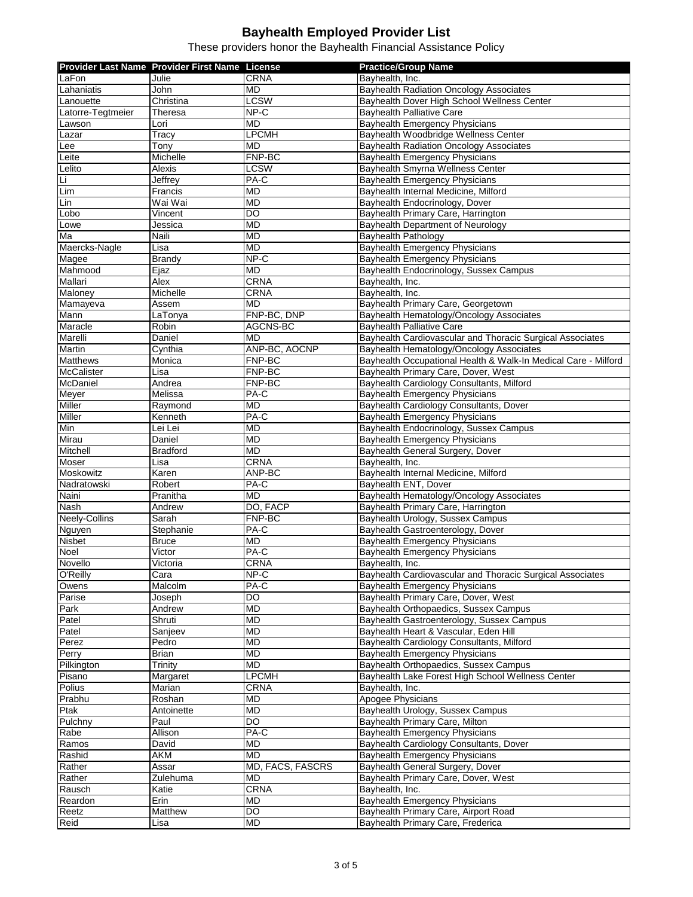|                            | Provider Last Name Provider First Name License |                   | <b>Practice/Group Name</b>                                     |
|----------------------------|------------------------------------------------|-------------------|----------------------------------------------------------------|
| LaFon                      | Julie                                          | <b>CRNA</b>       | Bayhealth, Inc.                                                |
| Lahaniatis                 | John                                           | <b>MD</b>         | <b>Bayhealth Radiation Oncology Associates</b>                 |
| Lanouette                  | Christina                                      | <b>LCSW</b>       | Bayhealth Dover High School Wellness Center                    |
| Latorre-Tegtmeier          | Theresa                                        | $NP-C$            | Bayhealth Palliative Care                                      |
| Lawson                     | Lori                                           | <b>MD</b>         | Bayhealth Emergency Physicians                                 |
| Lazar                      | Tracy                                          | <b>LPCMH</b>      | Bayhealth Woodbridge Wellness Center                           |
| Lee                        | Tony                                           | MD                | Bayhealth Radiation Oncology Associates                        |
| Leite                      | Michelle                                       | FNP-BC            | Bayhealth Emergency Physicians                                 |
| Lelito                     | Alexis                                         | <b>LCSW</b>       | Bayhealth Smyrna Wellness Center                               |
| Li                         | Jeffrey                                        | PA-C              | <b>Bayhealth Emergency Physicians</b>                          |
| $\overline{\mathsf{L}}$ im | Francis                                        | <b>MD</b>         | Bayhealth Internal Medicine, Milford                           |
| Lin                        | Wai Wai                                        | MD                | Bayhealth Endocrinology, Dover                                 |
| Lobo                       | Vincent                                        | $\overline{DO}$   | Bayhealth Primary Care, Harrington                             |
| Lowe                       | Jessica                                        | <b>MD</b>         | Bayhealth Department of Neurology                              |
| Ma                         | Naili                                          | MD                | <b>Bayhealth Pathology</b>                                     |
| Maercks-Nagle              | Lisa                                           | <b>MD</b>         | <b>Bayhealth Emergency Physicians</b>                          |
| Magee                      | <b>Brandy</b>                                  | $NP-C$            | Bayhealth Emergency Physicians                                 |
| Mahmood                    | Ejaz                                           | <b>MD</b>         | Bayhealth Endocrinology, Sussex Campus                         |
| Mallari                    | Alex                                           | <b>CRNA</b>       | Bayhealth, Inc.                                                |
| Maloney                    | Michelle                                       | CRNA              | Bayhealth, Inc.                                                |
| Mamayeva                   | Assem                                          | <b>MD</b>         | Bayhealth Primary Care, Georgetown                             |
| Mann                       | LaTonya                                        | FNP-BC, DNP       | Bayhealth Hematology/Oncology Associates                       |
| Maracle                    | Robin                                          | AGCNS-BC          | Bayhealth Palliative Care                                      |
| Marelli                    | Daniel                                         | MD                | Bayhealth Cardiovascular and Thoracic Surgical Associates      |
| Martin                     | Cynthia                                        | ANP-BC, AOCNP     | Bayhealth Hematology/Oncology Associates                       |
| <b>Matthews</b>            | Monica                                         | FNP-BC            | Bayhealth Occupational Health & Walk-In Medical Care - Milford |
| <b>McCalister</b>          | Lisa                                           | FNP-BC            | Bayhealth Primary Care, Dover, West                            |
| McDaniel                   | Andrea                                         | FNP-BC            | Bayhealth Cardiology Consultants, Milford                      |
| Meyer                      | Melissa                                        | PA-C              | <b>Bayhealth Emergency Physicians</b>                          |
| Miller                     | Raymond                                        | MD                | Bayhealth Cardiology Consultants, Dover                        |
| Miller                     | Kenneth                                        | $PA-C$            | <b>Bayhealth Emergency Physicians</b>                          |
| Min                        | Lei Lei                                        | MD                | Bayhealth Endocrinology, Sussex Campus                         |
| Mirau                      | Daniel                                         | MD                | Bayhealth Emergency Physicians                                 |
| Mitchell                   | <b>Bradford</b>                                | <b>MD</b>         | Bayhealth General Surgery, Dover                               |
| Moser                      | Lisa                                           | <b>CRNA</b>       | Bayhealth, Inc.                                                |
| Moskowitz                  | Karen                                          | ANP-BC            | Bayhealth Internal Medicine, Milford                           |
| Nadratowski                | Robert                                         | PA-C              | Bayhealth ENT, Dover                                           |
| Naini                      | Pranitha                                       | MD                | Bayhealth Hematology/Oncology Associates                       |
| Nash                       | Andrew                                         | DO, FACP          | Bayhealth Primary Care, Harrington                             |
| <b>Neely-Collins</b>       | Sarah                                          | FNP-BC            | Bayhealth Urology, Sussex Campus                               |
| Nguyen                     | Stephanie                                      | $\overline{PA-C}$ | Bayhealth Gastroenterology, Dover                              |
| <b>Nisbet</b>              | <b>Bruce</b>                                   | MD                | <b>Bayhealth Emergency Physicians</b>                          |
| Noel                       | Victor                                         | $PA-C$            | <b>Bayhealth Emergency Physicians</b>                          |
| Novello                    | Victoria                                       | <b>CRNA</b>       | Bayhealth, Inc.                                                |
| O'Reilly                   | Cara                                           | $NP-C$            | Bayhealth Cardiovascular and Thoracic Surgical Associates      |
| Owens                      | Malcolm                                        | PA-C              | <b>Bayhealth Emergency Physicians</b>                          |
| Parise                     | Joseph                                         | DO                | Bayhealth Primary Care, Dover, West                            |
| Park                       | Andrew                                         | MD                | Bayhealth Orthopaedics, Sussex Campus                          |
| Patel                      | Shruti                                         | MD                | Bayhealth Gastroenterology, Sussex Campus                      |
| Patel                      | Sanjeev                                        | MD                | Bayhealth Heart & Vascular, Eden Hill                          |
| Perez                      | Pedro                                          | MD                | Bayhealth Cardiology Consultants, Milford                      |
| Perry                      | <b>Brian</b>                                   | MD                | Bayhealth Emergency Physicians                                 |
| Pilkington                 | Trinity                                        | MD                | Bayhealth Orthopaedics, Sussex Campus                          |
| Pisano                     | Margaret                                       | <b>LPCMH</b>      | Bayhealth Lake Forest High School Wellness Center              |
| <b>Polius</b>              | Marian                                         | <b>CRNA</b>       | Bayhealth, Inc.                                                |
| Prabhu                     | Roshan                                         | MD                | Apogee Physicians                                              |
| Ptak                       | Antoinette                                     | MD                | Bayhealth Urology, Sussex Campus                               |
| Pulchny                    | Paul                                           | <b>DO</b>         | Bayhealth Primary Care, Milton                                 |
| Rabe                       | Allison                                        | PA-C              | Bayhealth Emergency Physicians                                 |
| Ramos                      | David                                          | MD                | Bayhealth Cardiology Consultants, Dover                        |
| Rashid                     | <b>AKM</b>                                     | <b>MD</b>         | <b>Bayhealth Emergency Physicians</b>                          |
| Rather                     | Assar                                          | MD, FACS, FASCRS  | Bayhealth General Surgery, Dover                               |
| Rather                     | Zulehuma                                       | MD                | Bayhealth Primary Care, Dover, West                            |
| Rausch                     | Katie                                          | <b>CRNA</b>       | Bayhealth, Inc.                                                |
| Reardon                    | Erin                                           | MD                | Bayhealth Emergency Physicians                                 |
| Reetz                      | Matthew                                        | $\overline{D}$    | Bayhealth Primary Care, Airport Road                           |
| Reid                       | Lisa                                           | MD                | Bayhealth Primary Care, Frederica                              |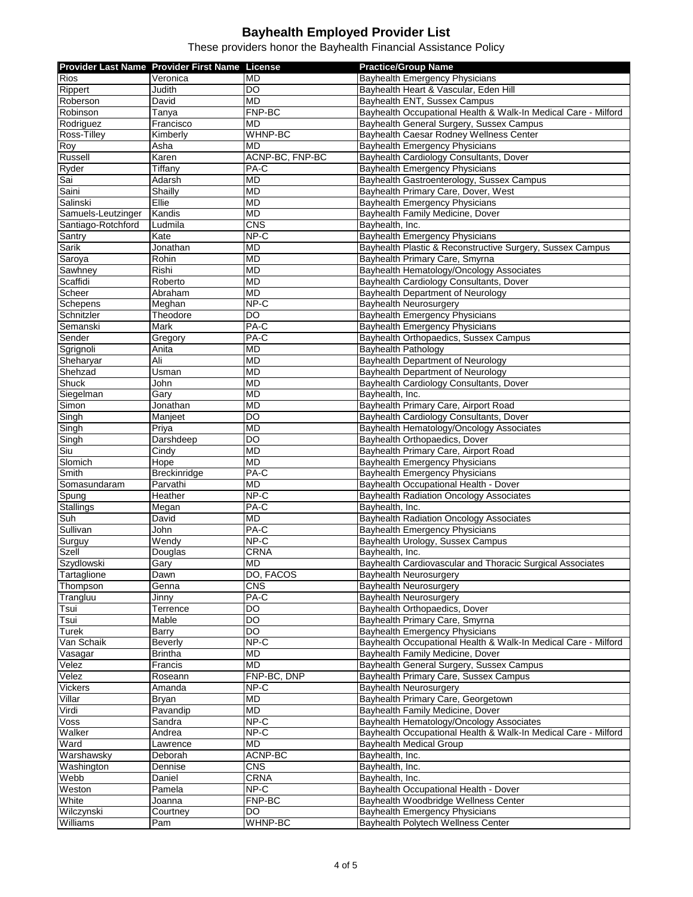|                    | Provider Last Name Provider First Name License |                 | <b>Practice/Group Name</b>                                     |
|--------------------|------------------------------------------------|-----------------|----------------------------------------------------------------|
| Rios               | Veronica                                       | MD              | <b>Bayhealth Emergency Physicians</b>                          |
|                    |                                                |                 |                                                                |
| Rippert            | Judith                                         | DO              | Bayhealth Heart & Vascular, Eden Hill                          |
| Roberson           | David                                          | MD              | Bayhealth ENT, Sussex Campus                                   |
| Robinson           | Tanya                                          | FNP-BC          | Bayhealth Occupational Health & Walk-In Medical Care - Milford |
| Rodriguez          | Francisco                                      | MD              | Bayhealth General Surgery, Sussex Campus                       |
| Ross-Tilley        | Kimberly                                       | <b>WHNP-BC</b>  | Bayhealth Caesar Rodney Wellness Center                        |
| Roy                | Asha                                           | MD              | Bayhealth Emergency Physicians                                 |
| Russell            | Karen                                          | ACNP-BC, FNP-BC | Bayhealth Cardiology Consultants, Dover                        |
| Ryder              | Tiffany                                        | PA-C            | Bayhealth Emergency Physicians                                 |
| Sai                | Adarsh                                         | MD              | Bayhealth Gastroenterology, Sussex Campus                      |
| Saini              | Shailly                                        | MD              | Bayhealth Primary Care, Dover, West                            |
| Salinski           | Ellie                                          | <b>MD</b>       | Bayhealth Emergency Physicians                                 |
| Samuels-Leutzinger | Kandis                                         | <b>MD</b>       | Bayhealth Family Medicine, Dover                               |
| Santiago-Rotchford | Ludmila                                        | CNS             | Bayhealth, Inc.                                                |
| Santry             | Kate                                           | $NP-C$          | Bayhealth Emergency Physicians                                 |
| Sarik              | Jonathan                                       | <b>MD</b>       | Bayhealth Plastic & Reconstructive Surgery, Sussex Campus      |
| Saroya             | Rohin                                          | <b>MD</b>       | Bayhealth Primary Care, Smyrna                                 |
|                    | Rishi                                          | <b>MD</b>       | Bayhealth Hematology/Oncology Associates                       |
| Sawhney            |                                                |                 |                                                                |
| Scaffidi           | Roberto                                        | <b>MD</b>       | Bayhealth Cardiology Consultants, Dover                        |
| Scheer             | Abraham                                        | <b>MD</b>       | Bayhealth Department of Neurology                              |
| Schepens           | Meghan                                         | NP-C            | Bayhealth Neurosurgery                                         |
| Schnitzler         | Theodore                                       | DO              | <b>Bayhealth Emergency Physicians</b>                          |
| Semanski           | Mark                                           | PA-C            | Bayhealth Emergency Physicians                                 |
| Sender             | Gregory                                        | PA-C            | Bayhealth Orthopaedics, Sussex Campus                          |
| Sgrignoli          | Anita                                          | MD              | Bayhealth Pathology                                            |
| Sheharyar          | Ali                                            | <b>MD</b>       | Bayhealth Department of Neurology                              |
| Shehzad            | Usman                                          | <b>MD</b>       | Bayhealth Department of Neurology                              |
| Shuck              | John                                           | MD              | Bayhealth Cardiology Consultants, Dover                        |
| Siegelman          | Gary                                           | <b>MD</b>       | Bayhealth, Inc.                                                |
| Simon              | Jonathan                                       | <b>MD</b>       | Bayhealth Primary Care, Airport Road                           |
| Singh              | Manjeet                                        | $\overline{D}$  | Bayhealth Cardiology Consultants, Dover                        |
| Singh              | Priya                                          | MD              |                                                                |
|                    |                                                |                 | Bayhealth Hematology/Oncology Associates                       |
| Singh              | Darshdeep                                      | DO              | Bayhealth Orthopaedics, Dover                                  |
| Siu                | Cindy                                          | MD              | Bayhealth Primary Care, Airport Road                           |
| Slomich            | Hope                                           | <b>MD</b>       | <b>Bayhealth Emergency Physicians</b>                          |
| Smith              | Breckinridge                                   | PA-C            | Bayhealth Emergency Physicians                                 |
| Somasundaram       | Parvathi                                       | <b>MD</b>       | Bayhealth Occupational Health - Dover                          |
| Spung              | Heather                                        | $NP-C$          | Bayhealth Radiation Oncology Associates                        |
| <b>Stallings</b>   | Megan                                          | $PA-C$          | Bayhealth, Inc.                                                |
| Suh                | David                                          | <b>MD</b>       | <b>Bayhealth Radiation Oncology Associates</b>                 |
| Sullivan           | John                                           | PA-C            | <b>Bayhealth Emergency Physicians</b>                          |
| Surguy             | Wendy                                          | $NP-C$          | Bayhealth Urology, Sussex Campus                               |
| <b>Szell</b>       | Douglas                                        | <b>CRNA</b>     | Bayhealth, Inc.                                                |
| Szydlowski         | Garv                                           | <b>MD</b>       | Bayhealth Cardiovascular and Thoracic Surgical Associates      |
| Tartaglione        | Dawn                                           | DO, FACOS       | Bayhealth Neurosurgery                                         |
| Thompson           | Genna                                          | <b>CNS</b>      | Bayhealth Neurosurgery                                         |
| Trangluu           | Jinny                                          | PA-C            | Bayhealth Neurosurgery                                         |
|                    | Terrence                                       |                 |                                                                |
| Tsui               |                                                | DO              | Bayhealth Orthopaedics, Dover                                  |
| Tsui               | Mable                                          | DO              | Bayhealth Primary Care, Smyrna                                 |
| Turek              | Barry                                          | DO              | Bayhealth Emergency Physicians                                 |
| Van Schaik         | Beverly                                        | NP-C            | Bayhealth Occupational Health & Walk-In Medical Care - Milford |
| Vasagar            | <b>Brintha</b>                                 | MD              | Bayhealth Family Medicine, Dover                               |
| Velez              | Francis                                        | MD              | Bayhealth General Surgery, Sussex Campus                       |
| Velez              | Roseann                                        | FNP-BC, DNP     | Bayhealth Primary Care, Sussex Campus                          |
| <b>Vickers</b>     | Amanda                                         | NP-C            | Bayhealth Neurosurgery                                         |
| Villar             | <b>Bryan</b>                                   | MD              | Bayhealth Primary Care, Georgetown                             |
| Virdi              | Pavandip                                       | MD              | Bayhealth Family Medicine, Dover                               |
| Voss               | Sandra                                         | NP-C            | Bayhealth Hematology/Oncology Associates                       |
| Walker             | Andrea                                         | NP-C            | Bayhealth Occupational Health & Walk-In Medical Care - Milford |
| Ward               | Lawrence                                       | MD              | <b>Bayhealth Medical Group</b>                                 |
| Warshawsky         | Deborah                                        | ACNP-BC         | Bayhealth, Inc.                                                |
| Washington         | Dennise                                        | CNS             | Bayhealth, Inc.                                                |
|                    |                                                |                 |                                                                |
| Webb               | Daniel                                         | CRNA            | Bayhealth, Inc.                                                |
| Weston             | Pamela                                         | NP-C            | Bayhealth Occupational Health - Dover                          |
| White              | Joanna                                         | FNP-BC          | Bayhealth Woodbridge Wellness Center                           |
| Wilczynski         | Courtney                                       | DO              | Bayhealth Emergency Physicians                                 |
| Williams           | Pam                                            | WHNP-BC         | Bayhealth Polytech Wellness Center                             |